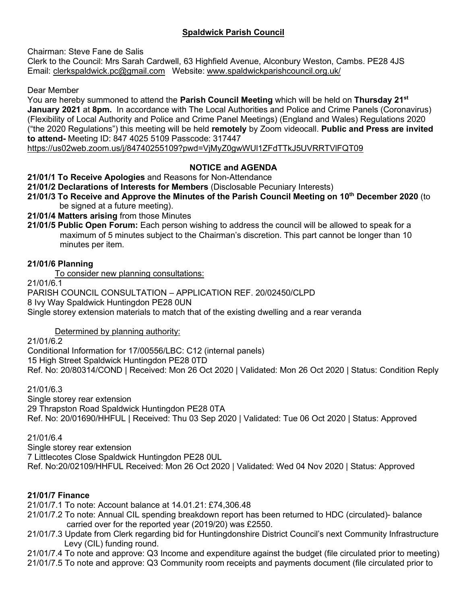# **Spaldwick Parish Council**

Chairman: Steve Fane de Salis

Clerk to the Council: Mrs Sarah Cardwell, 63 Highfield Avenue, Alconbury Weston, Cambs. PE28 4JS Email: [clerkspaldwick.pc@gmail.com](mailto:clerkspaldwick.pc@gmail.com) Website: [www.spaldwickparishcouncil.org.uk/](http://www.spaldwickparishcouncil.org.uk/)

Dear Member

You are hereby summoned to attend the **Parish Council Meeting** which will be held on **Thursday 21st January 2021** at **8pm.** In accordance with The Local Authorities and Police and Crime Panels (Coronavirus) (Flexibility of Local Authority and Police and Crime Panel Meetings) (England and Wales) Regulations 2020 ("the 2020 Regulations") this meeting will be held **remotely** by Zoom videocall. **Public and Press are invited to attend-** Meeting ID: 847 4025 5109 Passcode: 317447

<https://us02web.zoom.us/j/84740255109?pwd=VjMyZ0gwWUl1ZFdTTkJ5UVRRTVlFQT09>

## **NOTICE and AGENDA**

**21/01/1 To Receive Apologies** and Reasons for Non-Attendance

**21/01/2 Declarations of Interests for Members** (Disclosable Pecuniary Interests)

**21/01/3 To Receive and Approve the Minutes of the Parish Council Meeting on 10 th December 2020** (to be signed at a future meeting).

**21/01/4 Matters arising** from those Minutes

**21/01/5 Public Open Forum:** Each person wishing to address the council will be allowed to speak for a maximum of 5 minutes subject to the Chairman's discretion. This part cannot be longer than 10 minutes per item.

### **21/01/6 Planning**

To consider new planning consultations:

21/01/6.1

PARISH COUNCIL CONSULTATION – APPLICATION REF. 20/02450/CLPD 8 Ivy Way Spaldwick Huntingdon PE28 0UN Single storey extension materials to match that of the existing dwelling and a rear veranda

Determined by planning authority:

21/01/6.2

[Conditional Information for 17/00556/LBC: C12 \(internal panels\)](https://publicaccess.huntingdonshire.gov.uk/online-applications/applicationDetails.do?keyVal=QK8ZGJIK0EC00&activeTab=summary) 15 High Street Spaldwick Huntingdon PE28 0TD Ref. No: 20/80314/COND | Received: Mon 26 Oct 2020 | Validated: Mon 26 Oct 2020 | Status: Condition Reply

21/01/6.3

[Single storey rear extension](https://publicaccess.huntingdonshire.gov.uk/online-applications/applicationDetails.do?keyVal=QG2UW4IKFGY00&activeTab=summary) 29 Thrapston Road Spaldwick Huntingdon PE28 0TA Ref. No: 20/01690/HHFUL | Received: Thu 03 Sep 2020 | Validated: Tue 06 Oct 2020 | Status: Approved

21/01/6.4

Single storey rear extension

7 Littlecotes Close Spaldwick Huntingdon PE28 0UL

Ref. No:20/02109/HHFUL Received: Mon 26 Oct 2020 | Validated: Wed 04 Nov 2020 | Status: Approved

## **21/01/7 Finance**

21/01/7.1 To note: Account balance at 14.01.21: £74,306.48

- 21/01/7.2 To note: Annual CIL spending breakdown report has been returned to HDC (circulated)- balance carried over for the reported year (2019/20) was £2550.
- 21/01/7.3 Update from Clerk regarding bid for Huntingdonshire District Council's next Community Infrastructure Levy (CIL) funding round.

21/01/7.4 To note and approve: Q3 Income and expenditure against the budget (file circulated prior to meeting) 21/01/7.5 To note and approve: Q3 Community room receipts and payments document (file circulated prior to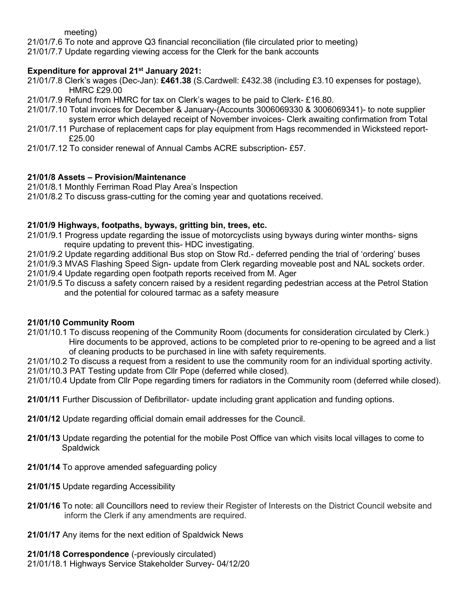meeting)

21/01/7.6 To note and approve Q3 financial reconciliation (file circulated prior to meeting)

21/01/7.7 Update regarding viewing access for the Clerk for the bank accounts

### **Expenditure for approval 21 st January 2021:**

- 21/01/7.8 Clerk's wages (Dec-Jan): **£461.38** (S.Cardwell: £432.38 (including £3.10 expenses for postage), HMRC £29.00
- 21/01/7.9 Refund from HMRC for tax on Clerk's wages to be paid to Clerk- £16.80.
- 21/01/7.10 Total invoices for December & January-(Accounts 3006069330 & 3006069341)- to note supplier system error which delayed receipt of November invoices- Clerk awaiting confirmation from Total
- 21/01/7.11 Purchase of replacement caps for play equipment from Hags recommended in Wicksteed report- £25.00
- 21/01/7.12 To consider renewal of Annual Cambs ACRE subscription- £57.

### **21/01/8 Assets – Provision/Maintenance**

21/01/8.1 Monthly Ferriman Road Play Area's Inspection

21/01/8.2 To discuss grass-cutting for the coming year and quotations received.

#### **21/01/9 Highways, footpaths, byways, gritting bin, trees, etc.**

21/01/9.1 Progress update regarding the issue of motorcyclists using byways during winter months- signs require updating to prevent this- HDC investigating.

21/01/9.2 Update regarding additional Bus stop on Stow Rd.- deferred pending the trial of 'ordering' buses

21/01/9.3 MVAS Flashing Speed Sign- update from Clerk regarding moveable post and NAL sockets order.

- 21/01/9.4 Update regarding open footpath reports received from M. Ager
- 21/01/9.5 To discuss a safety concern raised by a resident regarding pedestrian access at the Petrol Station and the potential for coloured tarmac as a safety measure

#### **21/01/10 Community Room**

21/01/10.1 To discuss reopening of the Community Room (documents for consideration circulated by Clerk.) Hire documents to be approved, actions to be completed prior to re-opening to be agreed and a list of cleaning products to be purchased in line with safety requirements.

21/01/10.2 To discuss a request from a resident to use the community room for an individual sporting activity. 21/01/10.3 PAT Testing update from Cllr Pope (deferred while closed).

21/01/10.4 Update from Cllr Pope regarding timers for radiators in the Community room (deferred while closed).

**21/01/11** Further Discussion of Defibrillator- update including grant application and funding options.

- **21/01/12** Update regarding official domain email addresses for the Council.
- **21/01/13** Update regarding the potential for the mobile Post Office van which visits local villages to come to **Spaldwick**
- **21/01/14** To approve amended safeguarding policy
- **21/01/15** Update regarding Accessibility
- **21/01/16** To note: all Councillors need to review their Register of Interests on the District Council website and inform the Clerk if any amendments are required.
- **21/01/17** Any items for the next edition of Spaldwick News

**21/01/18 Correspondence** (-previously circulated) 21/01/18.1 Highways Service Stakeholder Survey- 04/12/20